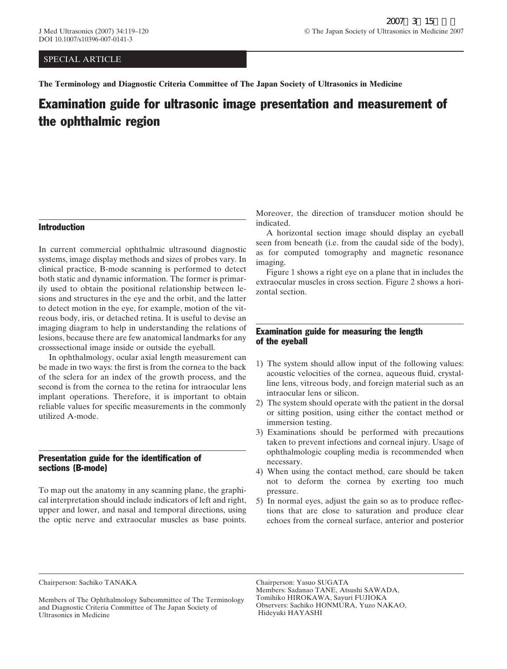#### SPECIAL ARTICLE

**The Terminology and Diagnostic Criteria Committee of The Japan Society of Ultrasonics in Medicine**

# Examination guide for ultrasonic image presentation and measurement of the ophthalmic region

### Introduction

In current commercial ophthalmic ultrasound diagnostic systems, image display methods and sizes of probes vary. In clinical practice, B-mode scanning is performed to detect both static and dynamic information. The former is primarily used to obtain the positional relationship between lesions and structures in the eye and the orbit, and the latter to detect motion in the eye, for example, motion of the vitreous body, iris, or detached retina. It is useful to devise an imaging diagram to help in understanding the relations of lesions, because there are few anatomical landmarks for any crosssectional image inside or outside the eyeball.

In ophthalmology, ocular axial length measurement can be made in two ways: the first is from the cornea to the back of the sclera for an index of the growth process, and the second is from the cornea to the retina for intraocular lens implant operations. Therefore, it is important to obtain reliable values for specific measurements in the commonly utilized A-mode.

## Presentation guide for the identification of sections (B-mode)

To map out the anatomy in any scanning plane, the graphical interpretation should include indicators of left and right, upper and lower, and nasal and temporal directions, using the optic nerve and extraocular muscles as base points. Moreover, the direction of transducer motion should be indicated.

A horizontal section image should display an eyeball seen from beneath (i.e. from the caudal side of the body), as for computed tomography and magnetic resonance imaging.

Figure 1 shows a right eye on a plane that in includes the extraocular muscles in cross section. Figure 2 shows a horizontal section.

### Examination guide for measuring the length of the eyeball

- 1) The system should allow input of the following values: acoustic velocities of the cornea, aqueous fluid, crystalline lens, vitreous body, and foreign material such as an intraocular lens or silicon.
- 2) The system should operate with the patient in the dorsal or sitting position, using either the contact method or immersion testing.
- 3) Examinations should be performed with precautions taken to prevent infections and corneal injury. Usage of ophthalmologic coupling media is recommended when necessary.
- 4) When using the contact method, care should be taken not to deform the cornea by exerting too much pressure.
- 5) In normal eyes, adjust the gain so as to produce reflections that are close to saturation and produce clear echoes from the corneal surface, anterior and posterior

Chairperson: Sachiko TANAKA

Chairperson: Yasuo SUGATA Members: Sadanao TANE, Atsushi SAWADA, Tomihiko HIROKAWA, Sayuri FUJIOKA Observers: Sachiko HONMURA, Yuzo NAKAO, Hideyuki HAYASHI

Members of The Ophthalmology Subcommittee of The Terminology and Diagnostic Criteria Committee of The Japan Society of Ultrasonics in Medicine